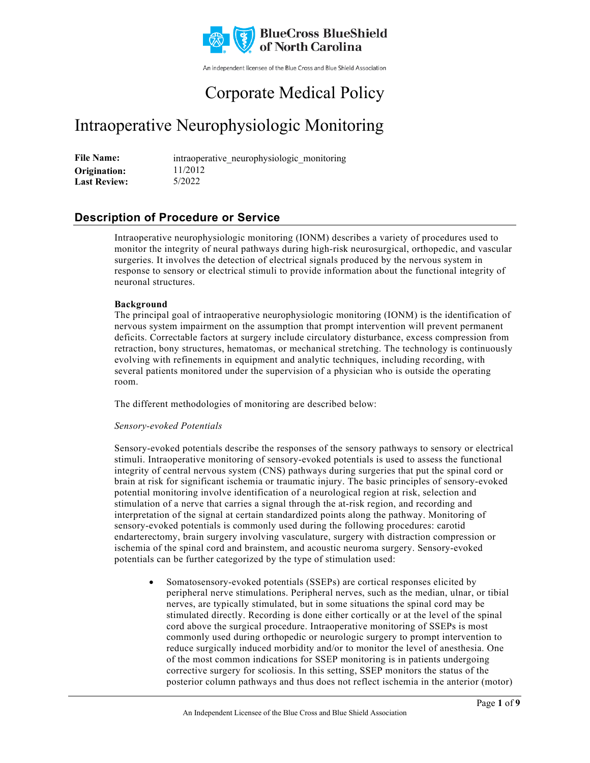

An independent licensee of the Blue Cross and Blue Shield Association

# Corporate Medical Policy

# Intraoperative Neurophysiologic Monitoring

File Name: intraoperative neurophysiologic monitoring 11/2012 5/2022 **Origination: Last Review:**

## **Description of Procedure or Service**

Intraoperative neurophysiologic monitoring (IONM) describes a variety of procedures used to monitor the integrity of neural pathways during high-risk neurosurgical, orthopedic, and vascular surgeries. It involves the detection of electrical signals produced by the nervous system in response to sensory or electrical stimuli to provide information about the functional integrity of neuronal structures.

### **Background**

The principal goal of intraoperative neurophysiologic monitoring (IONM) is the identification of nervous system impairment on the assumption that prompt intervention will prevent permanent deficits. Correctable factors at surgery include circulatory disturbance, excess compression from retraction, bony structures, hematomas, or mechanical stretching. The technology is continuously evolving with refinements in equipment and analytic techniques, including recording, with several patients monitored under the supervision of a physician who is outside the operating room.

The different methodologies of monitoring are described below:

#### *Sensory-evoked Potentials*

Sensory-evoked potentials describe the responses of the sensory pathways to sensory or electrical stimuli. Intraoperative monitoring of sensory-evoked potentials is used to assess the functional integrity of central nervous system (CNS) pathways during surgeries that put the spinal cord or brain at risk for significant ischemia or traumatic injury. The basic principles of sensory-evoked potential monitoring involve identification of a neurological region at risk, selection and stimulation of a nerve that carries a signal through the at-risk region, and recording and interpretation of the signal at certain standardized points along the pathway. Monitoring of sensory-evoked potentials is commonly used during the following procedures: carotid endarterectomy, brain surgery involving vasculature, surgery with distraction compression or ischemia of the spinal cord and brainstem, and acoustic neuroma surgery. Sensory-evoked potentials can be further categorized by the type of stimulation used:

• Somatosensory-evoked potentials (SSEPs) are cortical responses elicited by peripheral nerve stimulations. Peripheral nerves, such as the median, ulnar, or tibial nerves, are typically stimulated, but in some situations the spinal cord may be stimulated directly. Recording is done either cortically or at the level of the spinal cord above the surgical procedure. Intraoperative monitoring of SSEPs is most commonly used during orthopedic or neurologic surgery to prompt intervention to reduce surgically induced morbidity and/or to monitor the level of anesthesia. One of the most common indications for SSEP monitoring is in patients undergoing corrective surgery for scoliosis. In this setting, SSEP monitors the status of the posterior column pathways and thus does not reflect ischemia in the anterior (motor)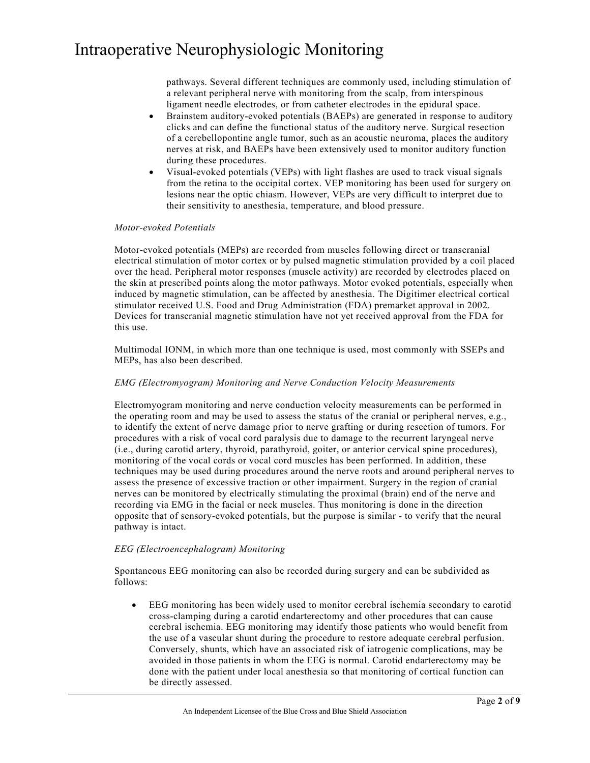pathways. Several different techniques are commonly used, including stimulation of a relevant peripheral nerve with monitoring from the scalp, from interspinous ligament needle electrodes, or from catheter electrodes in the epidural space.

- Brainstem auditory-evoked potentials (BAEPs) are generated in response to auditory clicks and can define the functional status of the auditory nerve. Surgical resection of a cerebellopontine angle tumor, such as an acoustic neuroma, places the auditory nerves at risk, and BAEPs have been extensively used to monitor auditory function during these procedures.
- Visual-evoked potentials (VEPs) with light flashes are used to track visual signals from the retina to the occipital cortex. VEP monitoring has been used for surgery on lesions near the optic chiasm. However, VEPs are very difficult to interpret due to their sensitivity to anesthesia, temperature, and blood pressure.

#### *Motor-evoked Potentials*

Motor-evoked potentials (MEPs) are recorded from muscles following direct or transcranial electrical stimulation of motor cortex or by pulsed magnetic stimulation provided by a coil placed over the head. Peripheral motor responses (muscle activity) are recorded by electrodes placed on the skin at prescribed points along the motor pathways. Motor evoked potentials, especially when induced by magnetic stimulation, can be affected by anesthesia. The Digitimer electrical cortical stimulator received U.S. Food and Drug Administration (FDA) premarket approval in 2002. Devices for transcranial magnetic stimulation have not yet received approval from the FDA for this use.

Multimodal IONM, in which more than one technique is used, most commonly with SSEPs and MEPs, has also been described.

#### *EMG (Electromyogram) Monitoring and Nerve Conduction Velocity Measurements*

Electromyogram monitoring and nerve conduction velocity measurements can be performed in the operating room and may be used to assess the status of the cranial or peripheral nerves, e.g., to identify the extent of nerve damage prior to nerve grafting or during resection of tumors. For procedures with a risk of vocal cord paralysis due to damage to the recurrent laryngeal nerve (i.e., during carotid artery, thyroid, parathyroid, goiter, or anterior cervical spine procedures), monitoring of the vocal cords or vocal cord muscles has been performed. In addition, these techniques may be used during procedures around the nerve roots and around peripheral nerves to assess the presence of excessive traction or other impairment. Surgery in the region of cranial nerves can be monitored by electrically stimulating the proximal (brain) end of the nerve and recording via EMG in the facial or neck muscles. Thus monitoring is done in the direction opposite that of sensory-evoked potentials, but the purpose is similar - to verify that the neural pathway is intact.

#### *EEG (Electroencephalogram) Monitoring*

Spontaneous EEG monitoring can also be recorded during surgery and can be subdivided as follows:

• EEG monitoring has been widely used to monitor cerebral ischemia secondary to carotid cross-clamping during a carotid endarterectomy and other procedures that can cause cerebral ischemia. EEG monitoring may identify those patients who would benefit from the use of a vascular shunt during the procedure to restore adequate cerebral perfusion. Conversely, shunts, which have an associated risk of iatrogenic complications, may be avoided in those patients in whom the EEG is normal. Carotid endarterectomy may be done with the patient under local anesthesia so that monitoring of cortical function can be directly assessed.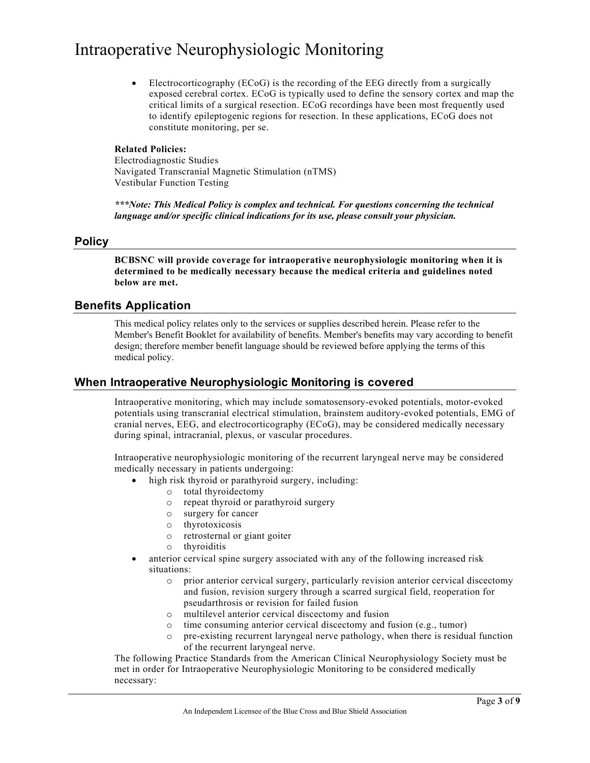• Electrocorticography (ECoG) is the recording of the EEG directly from a surgically exposed cerebral cortex. ECoG is typically used to define the sensory cortex and map the critical limits of a surgical resection. ECoG recordings have been most frequently used to identify epileptogenic regions for resection. In these applications, ECoG does not constitute monitoring, per se.

#### **Related Policies:**

Electrodiagnostic Studies Navigated Transcranial Magnetic Stimulation (nTMS) Vestibular Function Testing

*\*\*\*Note: This Medical Policy is complex and technical. For questions concerning the technical language and/or specific clinical indications for its use, please consult your physician.*

### **Policy**

**BCBSNC will provide coverage for intraoperative neurophysiologic monitoring when it is determined to be medically necessary because the medical criteria and guidelines noted below are met.**

### **Benefits Application**

This medical policy relates only to the services or supplies described herein. Please refer to the Member's Benefit Booklet for availability of benefits. Member's benefits may vary according to benefit design; therefore member benefit language should be reviewed before applying the terms of this medical policy.

### **When Intraoperative Neurophysiologic Monitoring is covered**

Intraoperative monitoring, which may include somatosensory-evoked potentials, motor-evoked potentials using transcranial electrical stimulation, brainstem auditory-evoked potentials, EMG of cranial nerves, EEG, and electrocorticography (ECoG), may be considered medically necessary during spinal, intracranial, plexus, or vascular procedures.

Intraoperative neurophysiologic monitoring of the recurrent laryngeal nerve may be considered medically necessary in patients undergoing:

- high risk thyroid or parathyroid surgery, including:
	- o total thyroidectomy
	- o repeat thyroid or parathyroid surgery
	- o surgery for cancer
	- o thyrotoxicosis
	- o retrosternal or giant goiter
	- o thyroiditis
- anterior cervical spine surgery associated with any of the following increased risk situations:
	- o prior anterior cervical surgery, particularly revision anterior cervical discectomy and fusion, revision surgery through a scarred surgical field, reoperation for pseudarthrosis or revision for failed fusion
	- o multilevel anterior cervical discectomy and fusion
	- o time consuming anterior cervical discectomy and fusion (e.g., tumor)
	- o pre-existing recurrent laryngeal nerve pathology, when there is residual function of the recurrent laryngeal nerve.

The following Practice Standards from the American Clinical Neurophysiology Society must be met in order for Intraoperative Neurophysiologic Monitoring to be considered medically necessary: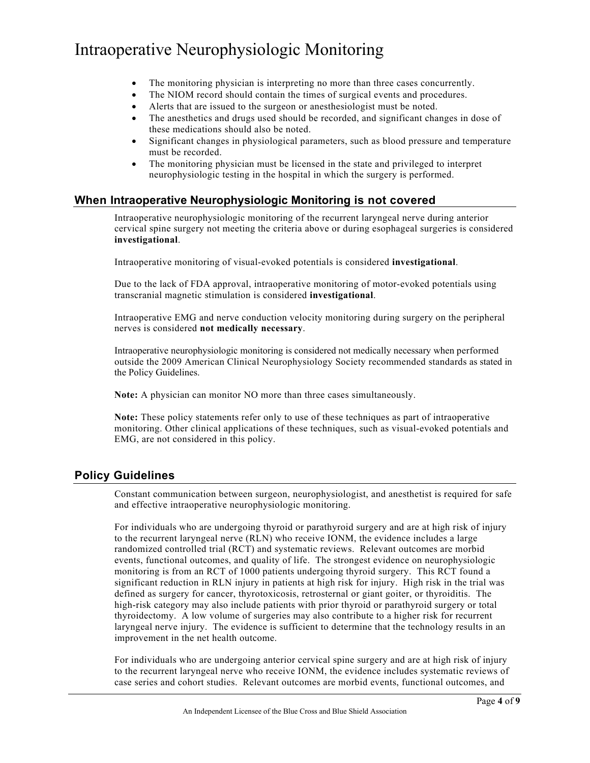- The monitoring physician is interpreting no more than three cases concurrently.
- The NIOM record should contain the times of surgical events and procedures.
- Alerts that are issued to the surgeon or anesthesiologist must be noted.
- The anesthetics and drugs used should be recorded, and significant changes in dose of these medications should also be noted.
- Significant changes in physiological parameters, such as blood pressure and temperature must be recorded.
- The monitoring physician must be licensed in the state and privileged to interpret neurophysiologic testing in the hospital in which the surgery is performed.

## **When Intraoperative Neurophysiologic Monitoring is not covered**

Intraoperative neurophysiologic monitoring of the recurrent laryngeal nerve during anterior cervical spine surgery not meeting the criteria above or during esophageal surgeries is considered **investigational**.

Intraoperative monitoring of visual-evoked potentials is considered **investigational**.

Due to the lack of FDA approval, intraoperative monitoring of motor-evoked potentials using transcranial magnetic stimulation is considered **investigational**.

Intraoperative EMG and nerve conduction velocity monitoring during surgery on the peripheral nerves is considered **not medically necessary**.

Intraoperative neurophysiologic monitoring is considered not medically necessary when performed outside the 2009 American Clinical Neurophysiology Society recommended standards as stated in the Policy Guidelines.

**Note:** A physician can monitor NO more than three cases simultaneously.

**Note:** These policy statements refer only to use of these techniques as part of intraoperative monitoring. Other clinical applications of these techniques, such as visual-evoked potentials and EMG, are not considered in this policy.

## **Policy Guidelines**

Constant communication between surgeon, neurophysiologist, and anesthetist is required for safe and effective intraoperative neurophysiologic monitoring.

For individuals who are undergoing thyroid or parathyroid surgery and are at high risk of injury to the recurrent laryngeal nerve (RLN) who receive IONM, the evidence includes a large randomized controlled trial (RCT) and systematic reviews. Relevant outcomes are morbid events, functional outcomes, and quality of life. The strongest evidence on neurophysiologic monitoring is from an RCT of 1000 patients undergoing thyroid surgery. This RCT found a significant reduction in RLN injury in patients at high risk for injury. High risk in the trial was defined as surgery for cancer, thyrotoxicosis, retrosternal or giant goiter, or thyroiditis. The high-risk category may also include patients with prior thyroid or parathyroid surgery or total thyroidectomy. A low volume of surgeries may also contribute to a higher risk for recurrent laryngeal nerve injury. The evidence is sufficient to determine that the technology results in an improvement in the net health outcome.

For individuals who are undergoing anterior cervical spine surgery and are at high risk of injury to the recurrent laryngeal nerve who receive IONM, the evidence includes systematic reviews of case series and cohort studies. Relevant outcomes are morbid events, functional outcomes, and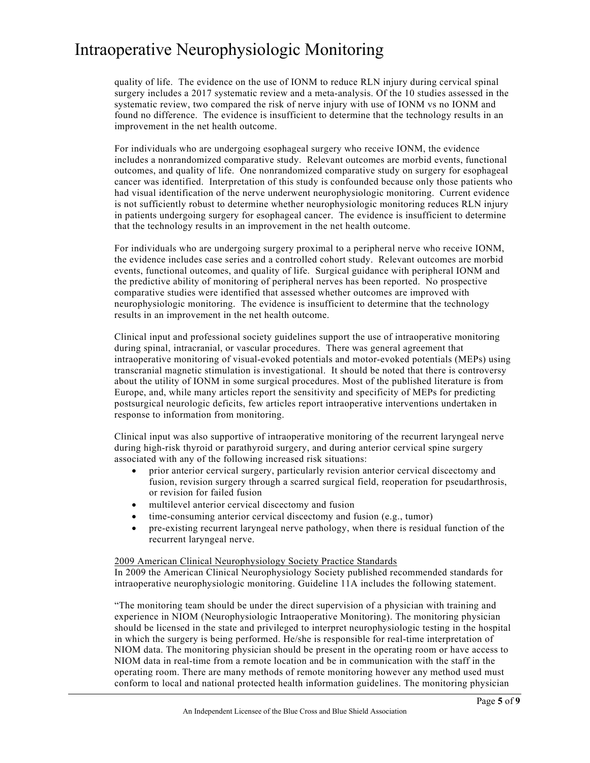quality of life. The evidence on the use of IONM to reduce RLN injury during cervical spinal surgery includes a 2017 systematic review and a meta-analysis. Of the 10 studies assessed in the systematic review, two compared the risk of nerve injury with use of IONM vs no IONM and found no difference. The evidence is insufficient to determine that the technology results in an improvement in the net health outcome.

For individuals who are undergoing esophageal surgery who receive IONM, the evidence includes a nonrandomized comparative study. Relevant outcomes are morbid events, functional outcomes, and quality of life. One nonrandomized comparative study on surgery for esophageal cancer was identified. Interpretation of this study is confounded because only those patients who had visual identification of the nerve underwent neurophysiologic monitoring. Current evidence is not sufficiently robust to determine whether neurophysiologic monitoring reduces RLN injury in patients undergoing surgery for esophageal cancer. The evidence is insufficient to determine that the technology results in an improvement in the net health outcome.

For individuals who are undergoing surgery proximal to a peripheral nerve who receive IONM, the evidence includes case series and a controlled cohort study. Relevant outcomes are morbid events, functional outcomes, and quality of life. Surgical guidance with peripheral IONM and the predictive ability of monitoring of peripheral nerves has been reported. No prospective comparative studies were identified that assessed whether outcomes are improved with neurophysiologic monitoring. The evidence is insufficient to determine that the technology results in an improvement in the net health outcome.

Clinical input and professional society guidelines support the use of intraoperative monitoring during spinal, intracranial, or vascular procedures. There was general agreement that intraoperative monitoring of visual-evoked potentials and motor-evoked potentials (MEPs) using transcranial magnetic stimulation is investigational. It should be noted that there is controversy about the utility of IONM in some surgical procedures. Most of the published literature is from Europe, and, while many articles report the sensitivity and specificity of MEPs for predicting postsurgical neurologic deficits, few articles report intraoperative interventions undertaken in response to information from monitoring.

Clinical input was also supportive of intraoperative monitoring of the recurrent laryngeal nerve during high-risk thyroid or parathyroid surgery, and during anterior cervical spine surgery associated with any of the following increased risk situations:

- prior anterior cervical surgery, particularly revision anterior cervical discectomy and fusion, revision surgery through a scarred surgical field, reoperation for pseudarthrosis, or revision for failed fusion
- multilevel anterior cervical discectomy and fusion
- time-consuming anterior cervical discectomy and fusion (e.g., tumor)
- pre-existing recurrent laryngeal nerve pathology, when there is residual function of the recurrent laryngeal nerve.

#### 2009 American Clinical Neurophysiology Society Practice Standards

In 2009 the American Clinical Neurophysiology Society published recommended standards for intraoperative neurophysiologic monitoring. Guideline 11A includes the following statement.

"The monitoring team should be under the direct supervision of a physician with training and experience in NIOM (Neurophysiologic Intraoperative Monitoring). The monitoring physician should be licensed in the state and privileged to interpret neurophysiologic testing in the hospital in which the surgery is being performed. He/she is responsible for real-time interpretation of NIOM data. The monitoring physician should be present in the operating room or have access to NIOM data in real-time from a remote location and be in communication with the staff in the operating room. There are many methods of remote monitoring however any method used must conform to local and national protected health information guidelines. The monitoring physician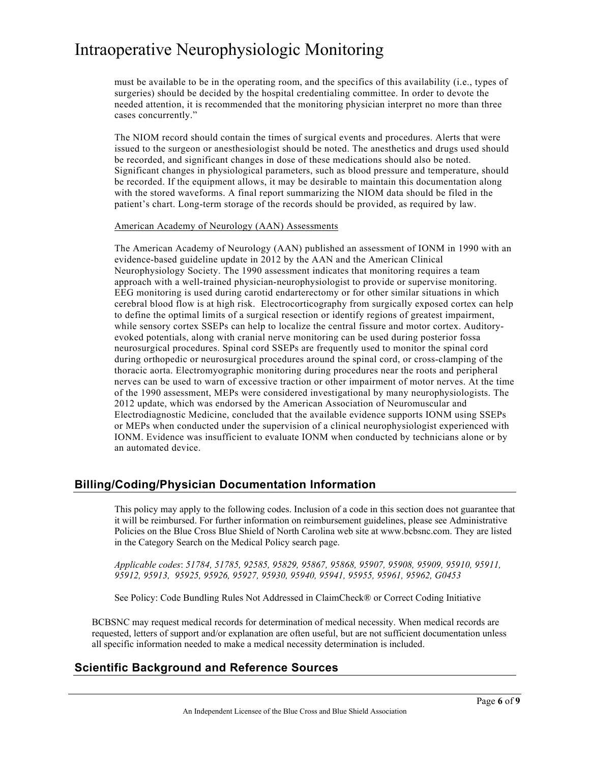must be available to be in the operating room, and the specifics of this availability (i.e., types of surgeries) should be decided by the hospital credentialing committee. In order to devote the needed attention, it is recommended that the monitoring physician interpret no more than three cases concurrently."

The NIOM record should contain the times of surgical events and procedures. Alerts that were issued to the surgeon or anesthesiologist should be noted. The anesthetics and drugs used should be recorded, and significant changes in dose of these medications should also be noted. Significant changes in physiological parameters, such as blood pressure and temperature, should be recorded. If the equipment allows, it may be desirable to maintain this documentation along with the stored waveforms. A final report summarizing the NIOM data should be filed in the patient's chart. Long-term storage of the records should be provided, as required by law.

#### American Academy of Neurology (AAN) Assessments

The American Academy of Neurology (AAN) published an assessment of IONM in 1990 with an evidence-based guideline update in 2012 by the AAN and the American Clinical Neurophysiology Society. The 1990 assessment indicates that monitoring requires a team approach with a well-trained physician-neurophysiologist to provide or supervise monitoring. EEG monitoring is used during carotid endarterectomy or for other similar situations in which cerebral blood flow is at high risk. Electrocorticography from surgically exposed cortex can help to define the optimal limits of a surgical resection or identify regions of greatest impairment, while sensory cortex SSEPs can help to localize the central fissure and motor cortex. Auditoryevoked potentials, along with cranial nerve monitoring can be used during posterior fossa neurosurgical procedures. Spinal cord SSEPs are frequently used to monitor the spinal cord during orthopedic or neurosurgical procedures around the spinal cord, or cross-clamping of the thoracic aorta. Electromyographic monitoring during procedures near the roots and peripheral nerves can be used to warn of excessive traction or other impairment of motor nerves. At the time of the 1990 assessment, MEPs were considered investigational by many neurophysiologists. The 2012 update, which was endorsed by the American Association of Neuromuscular and Electrodiagnostic Medicine, concluded that the available evidence supports IONM using SSEPs or MEPs when conducted under the supervision of a clinical neurophysiologist experienced with IONM. Evidence was insufficient to evaluate IONM when conducted by technicians alone or by an automated device.

### **Billing/Coding/Physician Documentation Information**

This policy may apply to the following codes. Inclusion of a code in this section does not guarantee that it will be reimbursed. For further information on reimbursement guidelines, please see Administrative Policies on the Blue Cross Blue Shield of North Carolina web site at www.bcbsnc.com. They are listed in the Category Search on the Medical Policy search page.

*Applicable codes*: *51784, 51785, 92585, 95829, 95867, 95868, 95907, 95908, 95909, 95910, 95911, 95912, 95913, 95925, 95926, 95927, 95930, 95940, 95941, 95955, 95961, 95962, G0453*

See Policy: Code Bundling Rules Not Addressed in ClaimCheck® or Correct Coding Initiative

BCBSNC may request medical records for determination of medical necessity. When medical records are requested, letters of support and/or explanation are often useful, but are not sufficient documentation unless all specific information needed to make a medical necessity determination is included.

### **Scientific Background and Reference Sources**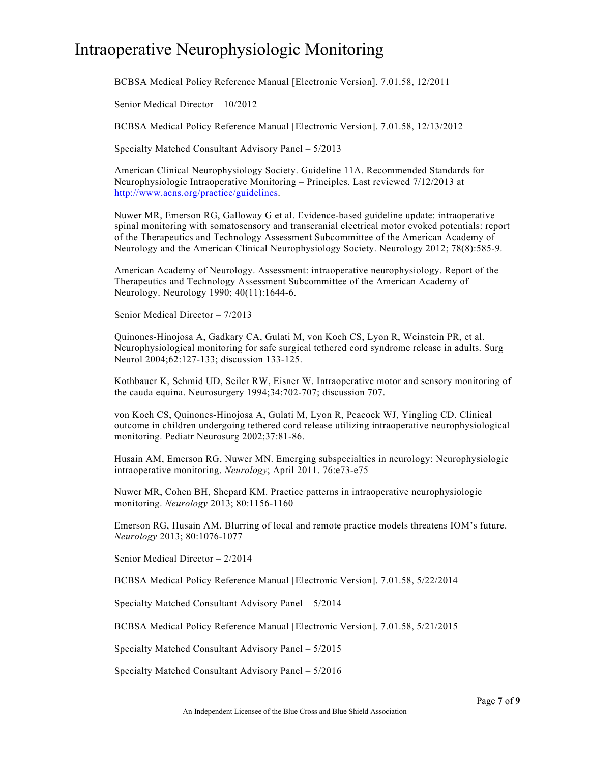BCBSA Medical Policy Reference Manual [Electronic Version]. 7.01.58, 12/2011

Senior Medical Director – 10/2012

BCBSA Medical Policy Reference Manual [Electronic Version]. 7.01.58, 12/13/2012

Specialty Matched Consultant Advisory Panel – 5/2013

American Clinical Neurophysiology Society. Guideline 11A. Recommended Standards for Neurophysiologic Intraoperative Monitoring – Principles. Last reviewed 7/12/2013 at [http://www.acns.org/practice/guidelines.](http://www.acns.org/practice/guidelines)

Nuwer MR, Emerson RG, Galloway G et al. Evidence-based guideline update: intraoperative spinal monitoring with somatosensory and transcranial electrical motor evoked potentials: report of the Therapeutics and Technology Assessment Subcommittee of the American Academy of Neurology and the American Clinical Neurophysiology Society. Neurology 2012; 78(8):585-9.

American Academy of Neurology. Assessment: intraoperative neurophysiology. Report of the Therapeutics and Technology Assessment Subcommittee of the American Academy of Neurology. Neurology 1990; 40(11):1644-6.

Senior Medical Director – 7/2013

Quinones-Hinojosa A, Gadkary CA, Gulati M, von Koch CS, Lyon R, Weinstein PR, et al. Neurophysiological monitoring for safe surgical tethered cord syndrome release in adults. Surg Neurol 2004;62:127-133; discussion 133-125.

Kothbauer K, Schmid UD, Seiler RW, Eisner W. Intraoperative motor and sensory monitoring of the cauda equina. Neurosurgery 1994;34:702-707; discussion 707.

von Koch CS, Quinones-Hinojosa A, Gulati M, Lyon R, Peacock WJ, Yingling CD. Clinical outcome in children undergoing tethered cord release utilizing intraoperative neurophysiological monitoring. Pediatr Neurosurg 2002;37:81-86.

Husain AM, Emerson RG, Nuwer MN. Emerging subspecialties in neurology: Neurophysiologic intraoperative monitoring. *Neurology*; April 2011. 76:e73-e75

Nuwer MR, Cohen BH, Shepard KM. Practice patterns in intraoperative neurophysiologic monitoring. *Neurology* 2013; 80:1156-1160

Emerson RG, Husain AM. Blurring of local and remote practice models threatens IOM's future. *Neurology* 2013; 80:1076-1077

Senior Medical Director – 2/2014

BCBSA Medical Policy Reference Manual [Electronic Version]. 7.01.58, 5/22/2014

Specialty Matched Consultant Advisory Panel – 5/2014

BCBSA Medical Policy Reference Manual [Electronic Version]. 7.01.58, 5/21/2015

Specialty Matched Consultant Advisory Panel – 5/2015

Specialty Matched Consultant Advisory Panel – 5/2016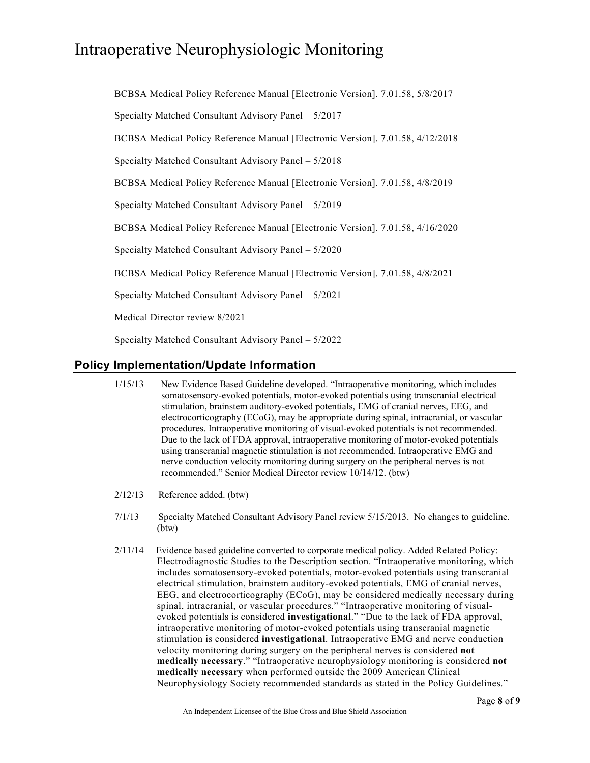BCBSA Medical Policy Reference Manual [Electronic Version]. 7.01.58, 5/8/2017 Specialty Matched Consultant Advisory Panel – 5/2017 BCBSA Medical Policy Reference Manual [Electronic Version]. 7.01.58, 4/12/2018 Specialty Matched Consultant Advisory Panel – 5/2018 BCBSA Medical Policy Reference Manual [Electronic Version]. 7.01.58, 4/8/2019 Specialty Matched Consultant Advisory Panel – 5/2019 BCBSA Medical Policy Reference Manual [Electronic Version]. 7.01.58, 4/16/2020 Specialty Matched Consultant Advisory Panel – 5/2020 BCBSA Medical Policy Reference Manual [Electronic Version]. 7.01.58, 4/8/2021 Specialty Matched Consultant Advisory Panel – 5/2021 Medical Director review 8/2021 Specialty Matched Consultant Advisory Panel – 5/2022

## **Policy Implementation/Update Information**

- 1/15/13 New Evidence Based Guideline developed. "Intraoperative monitoring, which includes somatosensory-evoked potentials, motor-evoked potentials using transcranial electrical stimulation, brainstem auditory-evoked potentials, EMG of cranial nerves, EEG, and electrocorticography (ECoG), may be appropriate during spinal, intracranial, or vascular procedures. Intraoperative monitoring of visual-evoked potentials is not recommended. Due to the lack of FDA approval, intraoperative monitoring of motor-evoked potentials using transcranial magnetic stimulation is not recommended. Intraoperative EMG and nerve conduction velocity monitoring during surgery on the peripheral nerves is not recommended." Senior Medical Director review 10/14/12. (btw)
- 2/12/13 Reference added. (btw)
- 7/1/13 Specialty Matched Consultant Advisory Panel review 5/15/2013. No changes to guideline. (btw)
- 2/11/14 Evidence based guideline converted to corporate medical policy. Added Related Policy: Electrodiagnostic Studies to the Description section. "Intraoperative monitoring, which includes somatosensory-evoked potentials, motor-evoked potentials using transcranial electrical stimulation, brainstem auditory-evoked potentials, EMG of cranial nerves, EEG, and electrocorticography (ECoG), may be considered medically necessary during spinal, intracranial, or vascular procedures." "Intraoperative monitoring of visualevoked potentials is considered **investigational**." "Due to the lack of FDA approval, intraoperative monitoring of motor-evoked potentials using transcranial magnetic stimulation is considered **investigational**. Intraoperative EMG and nerve conduction velocity monitoring during surgery on the peripheral nerves is considered **not medically necessary**." "Intraoperative neurophysiology monitoring is considered **not medically necessary** when performed outside the 2009 American Clinical Neurophysiology Society recommended standards as stated in the Policy Guidelines."